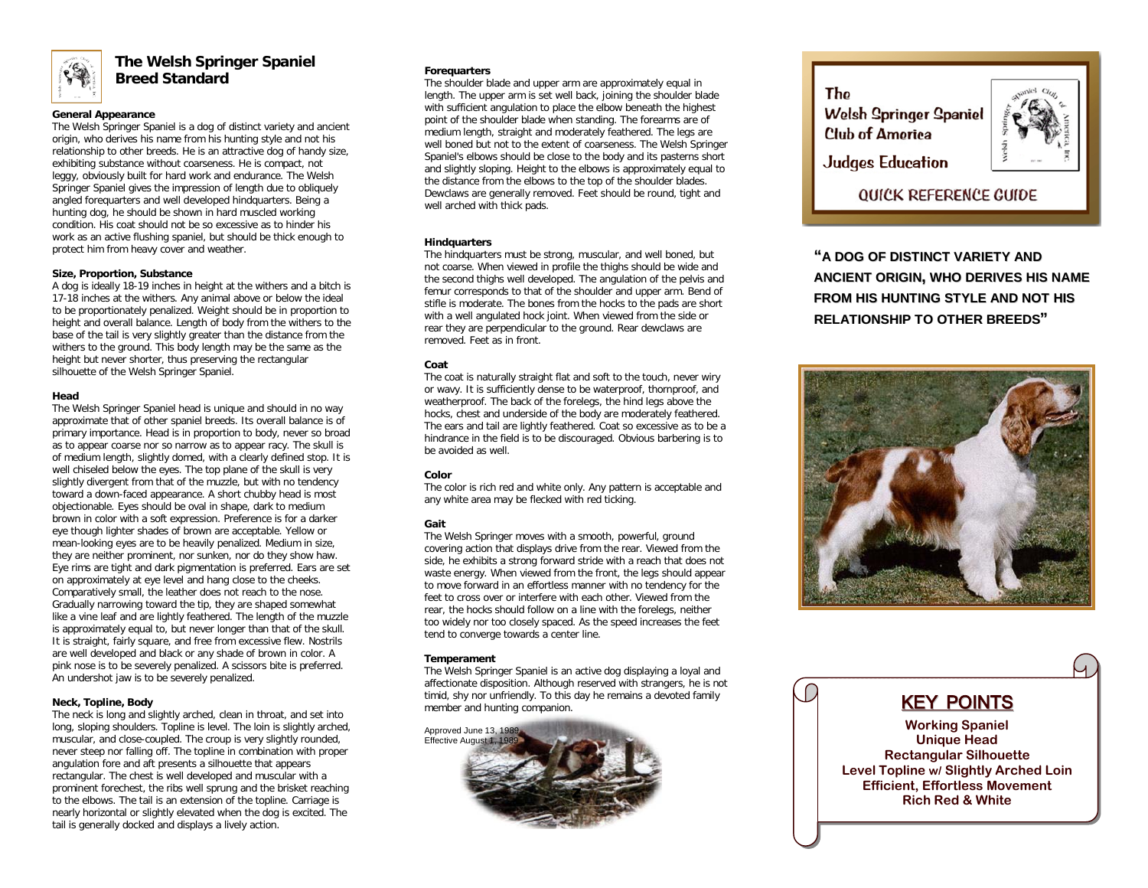

# **The Welsh Springer Spaniel Breed Standard**

#### **General Appearance**

The Welsh Springer Spaniel is a dog of distinct variety and ancient origin, who derives his name from his hunting style and not his relationship to other breeds. He is an attractive dog of handy size, exhibiting substance without coarseness. He is compact, not leggy, obviously built for hard work and endurance. The Welsh Springer Spaniel gives the impression of length due to obliquely angled forequarters and well developed hindquarters. Being a hunting dog, he should be shown in hard muscled working condition. His coat should not be so excessive as to hinder his work as an active flushing spaniel, but should be thick enough to protect him from heavy cover and weather.

#### **Size, Proportion, Substance**

A dog is ideally 18-19 inches in height at the withers and a bitch is 17-18 inches at the withers. Any animal above or below the ideal to be proportionately penalized. Weight should be in proportion to height and overall balance. Length of body from the withers to the base of the tail is very slightly greater than the distance from the withers to the ground. This body length may be the same as the height but never shorter, thus preserving the rectangular silhouette of the Welsh Springer Spaniel.

#### **Head**

The Welsh Springer Spaniel head is unique and should in no way approximate that of other spaniel breeds. Its overall balance is of primary importance. Head is in proportion to body, never so broad as to appear coarse nor so narrow as to appear racy. The skull is of medium length, slightly domed, with a clearly defined stop. It is well chiseled below the eyes. The top plane of the skull is very slightly divergent from that of the muzzle, but with no tendency toward a down-faced appearance. A short chubby head is most objectionable. Eyes should be oval in shape, dark to medium brown in color with a soft expression. Preference is for a darker eye though lighter shades of brown are acceptable. Yellow or mean-looking eyes are to be heavily penalized. Medium in size, they are neither prominent, nor sunken, nor do they show haw. Eye rims are tight and dark pigmentation is preferred. Ears are set on approximately at eye level and hang close to the cheeks. Comparatively small, the leather does not reach to the nose. Gradually narrowing toward the tip, they are shaped somewhat like a vine leaf and are lightly feathered. The length of the muzzle is approximately equal to, but never longer than that of the skull. It is straight, fairly square, and free from excessive flew. Nostrils are well developed and black or any shade of brown in color. A pink nose is to be severely penalized. A scissors bite is preferred. An undershot jaw is to be severely penalized.

#### **Neck, Topline, Body**

The neck is long and slightly arched, clean in throat, and set into long, sloping shoulders. Topline is level. The loin is slightly arched, muscular, and close-coupled. The croup is very slightly rounded, never steep nor falling off. The topline in combination with proper angulation fore and aft presents a silhouette that appears rectangular. The chest is well developed and muscular with a prominent forechest, the ribs well sprung and the brisket reaching to the elbows. The tail is an extension of the topline. Carriage is nearly horizontal or slightly elevated when the dog is excited. The tail is generally docked and displays a lively action.

#### **Forequarters**

The shoulder blade and upper arm are approximately equal in length. The upper arm is set well back, joining the shoulder blade with sufficient angulation to place the elbow beneath the highest point of the shoulder blade when standing. The forearms are of medium length, straight and moderately feathered. The legs are well boned but not to the extent of coarseness. The Welsh Springer Spaniel's elbows should be close to the body and its pasterns short and slightly sloping. Height to the elbows is approximately equal to the distance from the elbows to the top of the shoulder blades. Dewclaws are generally removed. Feet should be round, tight and well arched with thick pads.

#### **Hindquarters**

The hindquarters must be strong, muscular, and well boned, but not coarse. When viewed in profile the thighs should be wide and the second thighs well developed. The angulation of the pelvis and femur corresponds to that of the shoulder and upper arm. Bend of stifle is moderate. The bones from the hocks to the pads are short with a well angulated hock joint. When viewed from the side or rear they are perpendicular to the ground. Rear dewclaws are removed. Feet as in front.

#### **Coat**

The coat is naturally straight flat and soft to the touch, never wiry or wavy. It is sufficiently dense to be waterproof, thornproof, and weatherproof. The back of the forelegs, the hind legs above the hocks, chest and underside of the body are moderately feathered. The ears and tail are lightly feathered. Coat so excessive as to be a hindrance in the field is to be discouraged. Obvious barbering is to be avoided as well.

#### **Color**

The color is rich red and white only. Any pattern is acceptable and any white area may be flecked with red ticking.

### **Gait**

The Welsh Springer moves with a smooth, powerful, ground covering action that displays drive from the rear. Viewed from the side, he exhibits a strong forward stride with a reach that does not waste energy. When viewed from the front, the legs should appear to move forward in an effortless manner with no tendency for the feet to cross over or interfere with each other. Viewed from the rear, the hocks should follow on a line with the forelegs, neither too widely nor too closely spaced. As the speed increases the feet tend to converge towards a center line.

#### **Temperament**

The Welsh Springer Spaniel is an active dog displaying a loyal and affectionate disposition. Although reserved with strangers, he is not timid, shy nor unfriendly. To this day he remains a devoted family member and hunting companion.





# **OUICK REFERENCE CUIDE**

**"A DOG OF DISTINCT VARIETY AND ANCIENT ORIGIN, WHO DERIVES HIS NAME FROM HIS HUNTING STYLE AND NOT HIS RELATIONSHIP TO OTHER BREEDS"**



# KEY POINTS

**Working Spaniel Unique Head Rectangular Silhouette Level Topline w/ Slightly Arched Loin Efficient, Effortless Movement Rich Red & White**